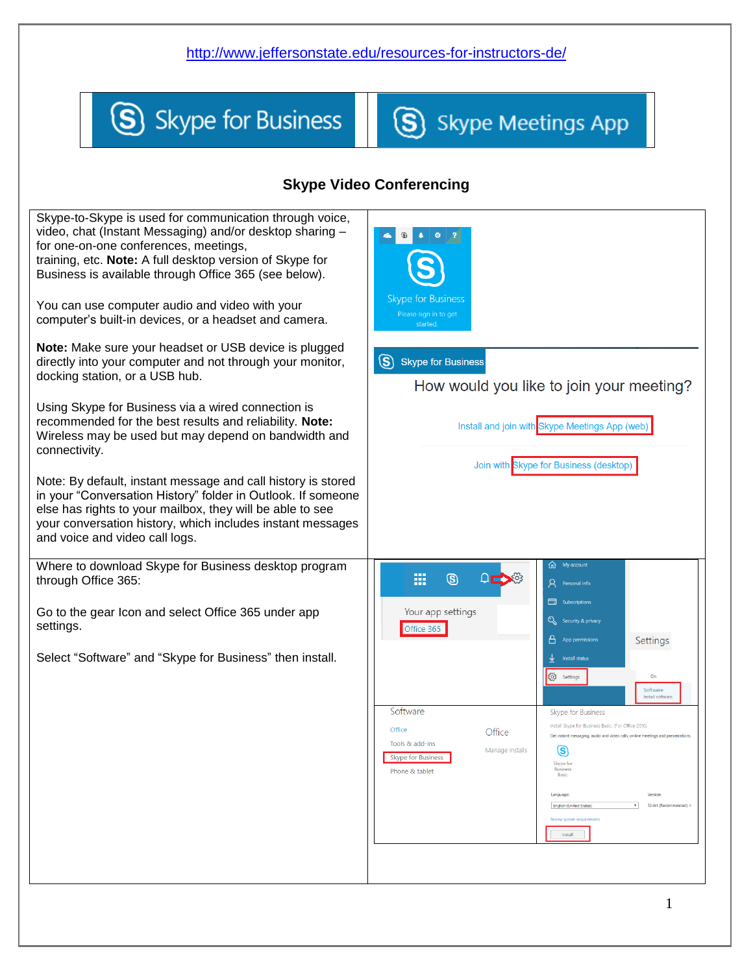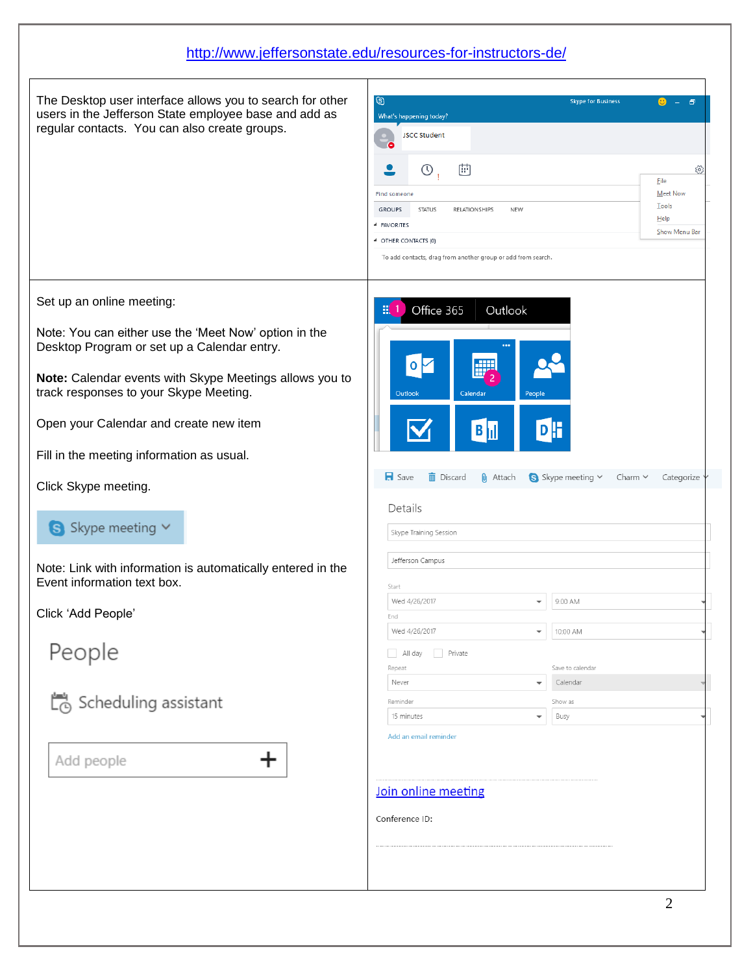The Desktop user interface allows you to search for other users in the Jefferson State employee base and add as regular contacts. You can also create groups.

Set up an online meeting:

Note: You can either use the 'Meet Now' option in the Desktop Program or set up a Calendar entry.

**Note:** Calendar events with Skype Meetings allows you to track responses to your Skype Meeting.

Open your Calendar and create new item

Fill in the meeting information as usual.

Click Skype meeting.

#### S Skype meeting V

Note: Link with information is automatically entered in the Event information text box.

+

Click 'Add People'

People

Scheduling assistant

Add people

| $\circledS$<br>What's happening today?                         | <b>Skype for Business</b>                             |
|----------------------------------------------------------------|-------------------------------------------------------|
| <b>JSCC Student</b>                                            |                                                       |
| 圕<br>$\circledcirc$                                            | <b>File</b>                                           |
| <b>Find someone</b>                                            | <b>Meet Now</b>                                       |
| <b>GROUPS</b><br><b>STATUS</b><br>NEW<br>RELATIONSHIPS         | Tools                                                 |
| <b>4 FAVORITES</b>                                             | Help<br>Show Menu Bar                                 |
| 4 OTHER CONTACTS (0)                                           |                                                       |
| To add contacts, drag from another group or add from search.   |                                                       |
| 0<br>Outlook<br>Calendar<br>$B _{\text{III}}$                  | People<br>DF                                          |
| $\blacksquare$ Save<br><b>面</b> Discard<br>$\mathbf{0}$ Attach | S Skype meeting $\times$ Charm $\times$<br>Categorize |
| Details<br>Skype Training Session                              |                                                       |
| Jefferson Campus                                               |                                                       |
|                                                                |                                                       |
| Start<br>Wed 4/26/2017                                         |                                                       |
| End                                                            | 9:00 AM                                               |
| Wed 4/26/2017                                                  | 10:00 AM                                              |
| n.                                                             |                                                       |
| All day<br>Private<br>Repeat                                   | Save to calendar                                      |
| Never                                                          | Calendar<br>$\overline{\phantom{a}}$                  |
| Reminder                                                       | Show as                                               |
| 15 minutes                                                     | Busy                                                  |
| Add an email reminder<br>Join online meeting                   |                                                       |
| Conference ID:                                                 |                                                       |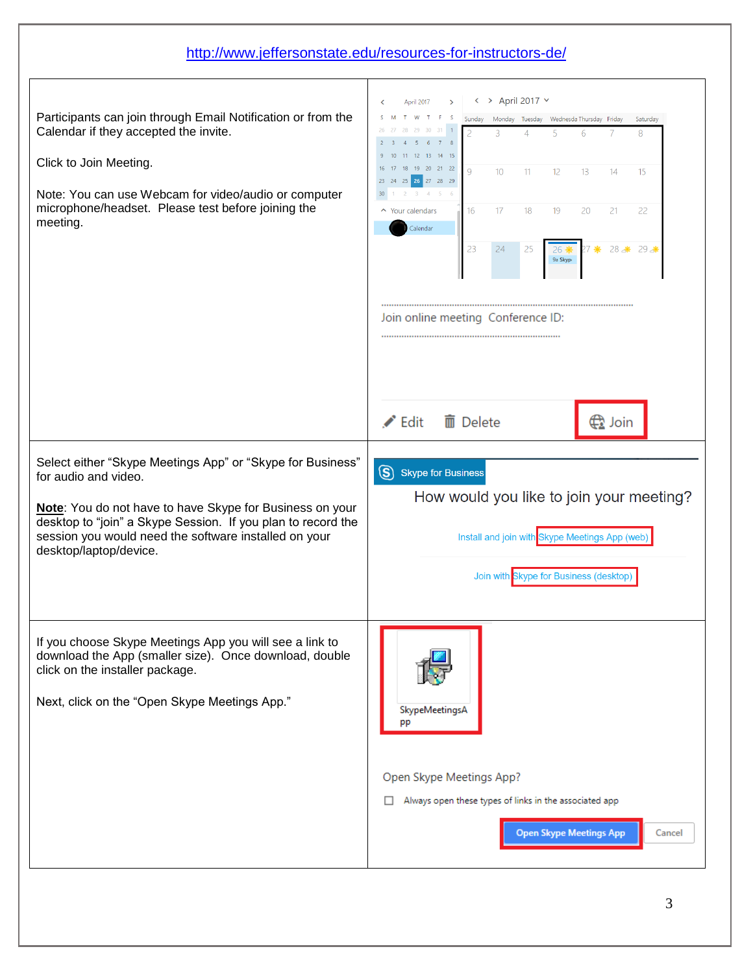|                                                                                                                                                                                                                                                                                                   | http://www.jeffersonstate.edu/resources-for-instructors-de/                                                                                                                                                                                                                                                                                                                                                                                                                                               |
|---------------------------------------------------------------------------------------------------------------------------------------------------------------------------------------------------------------------------------------------------------------------------------------------------|-----------------------------------------------------------------------------------------------------------------------------------------------------------------------------------------------------------------------------------------------------------------------------------------------------------------------------------------------------------------------------------------------------------------------------------------------------------------------------------------------------------|
| Participants can join through Email Notification or from the<br>Calendar if they accepted the invite.<br>Click to Join Meeting.<br>Note: You can use Webcam for video/audio or computer<br>microphone/headset. Please test before joining the<br>meeting.                                         | $\rightarrow$ April 2017 $\sim$<br>₹<br>April 2017<br>≺<br>Monday Tuesday Wednesda Thursday Friday<br>Sunday<br>Saturday<br>27 28<br>29<br>30<br>31<br>$\overline{4}$<br>5<br>8<br>6<br>10 11 12 13<br>14 15<br>16 17 18 19 20 21 22<br>9<br>10 <sup>°</sup><br>13<br>15<br>11<br>12<br>14<br>23 24 25 26 27 28 29<br>2 3 4 5 6<br>▲ Your calendars<br>22<br>16<br>17<br>18<br>19<br>20<br>21<br>Calendar<br>23<br>28 米 29 米<br>24<br>25<br>7 豪<br>26 養<br>9a Skypi<br>Join online meeting Conference ID: |
| Select either "Skype Meetings App" or "Skype for Business"<br>for audio and video.<br>Note: You do not have to have Skype for Business on your<br>desktop to "join" a Skype Session. If you plan to record the<br>session you would need the software installed on your<br>desktop/laptop/device. | $\blacktriangleright$ Edit<br>而 Delete<br><b>⊕</b> Join<br>S Skype for Business<br>How would you like to join your meeting?<br>Install and join with Skype Meetings App (web)<br>Join with Skype for Business (desktop)                                                                                                                                                                                                                                                                                   |
| If you choose Skype Meetings App you will see a link to<br>download the App (smaller size). Once download, double<br>click on the installer package.<br>Next, click on the "Open Skype Meetings App."                                                                                             | SkypeMeetingsA<br>pp<br>Open Skype Meetings App?<br>Always open these types of links in the associated app<br><b>Open Skype Meetings App</b><br>Cancel                                                                                                                                                                                                                                                                                                                                                    |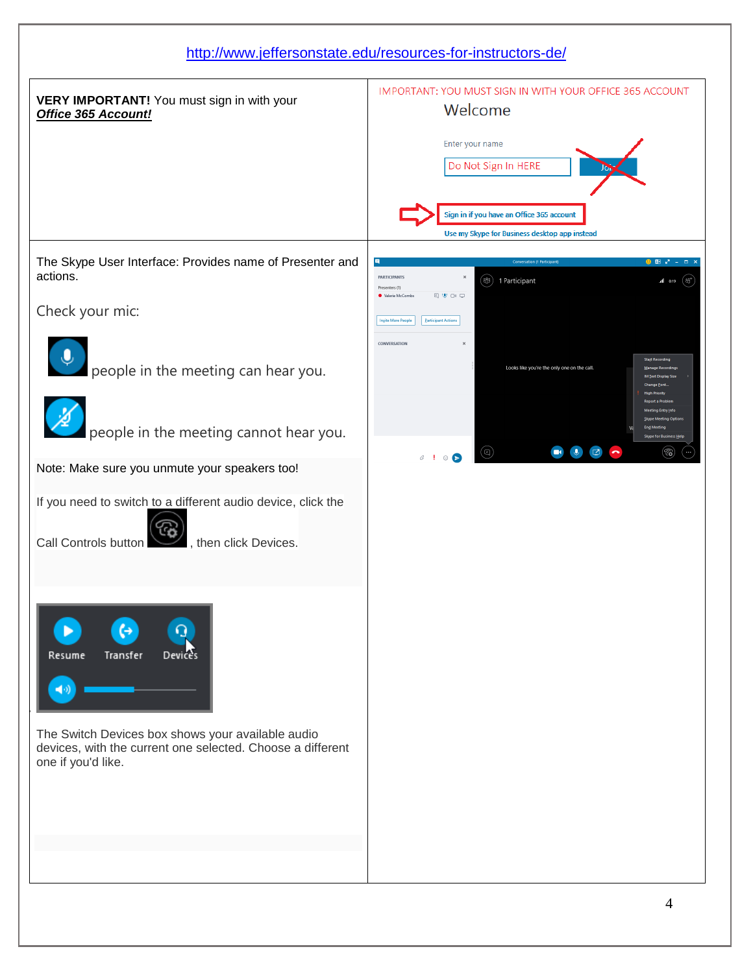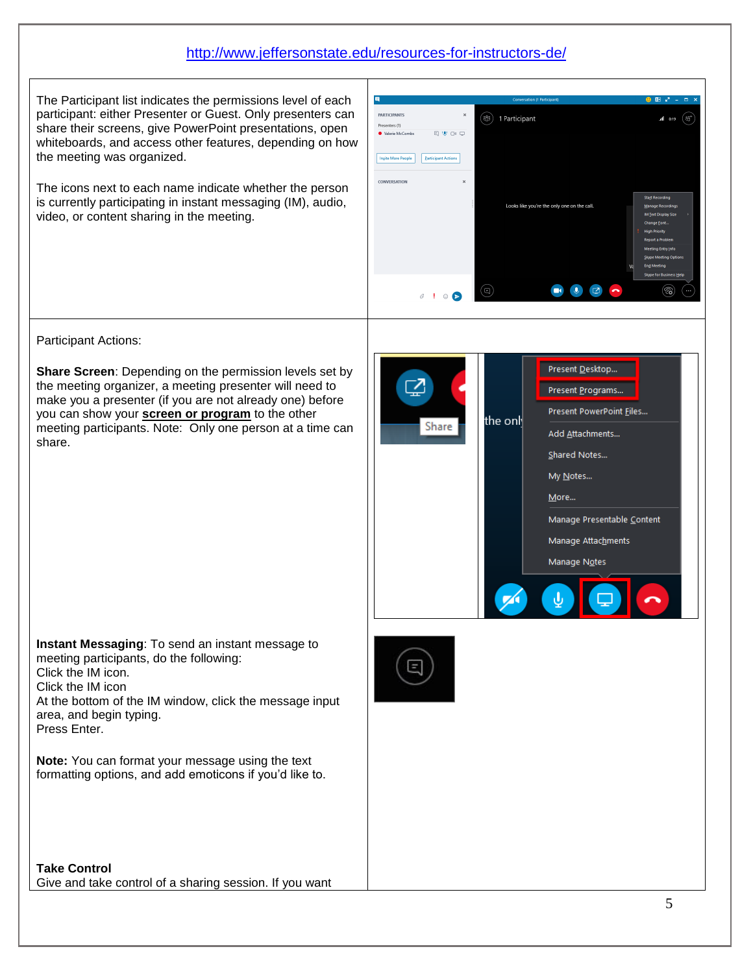The Participant list indicates the permissions level of each participant: either Presenter or Guest. Only presenters can share their screens, give PowerPoint presentations, open whiteboards, and access other features, depending on how the meeting was organized.

The icons next to each name indicate whether the person is currently participating in instant messaging (IM), audio, video, or content sharing in the meeting.



Participant Actions:

**Share Screen**: Depending on the permission levels set by the meeting organizer, a meeting presenter will need to make you a presenter (if you are not already one) before you can show your **screen or program** to the other meeting participants. Note: Only one person at a time can share.

|  |         | Present Desktop            |
|--|---------|----------------------------|
|  |         | Present Programs           |
|  | the onl | Present PowerPoint Eiles   |
|  | Share   | Add Attachments            |
|  |         | Shared Notes               |
|  |         | My Notes                   |
|  |         | More                       |
|  |         | Manage Presentable Content |
|  |         | Manage Attachments         |
|  |         | Manage Notes               |
|  |         |                            |
|  |         |                            |

**Instant Messaging**: To send an instant message to meeting participants, do the following: Click the IM icon. Click the IM icon At the bottom of the IM window, click the message input area, and begin typing. Press Enter.

**Note:** You can format your message using the text formatting options, and add emoticons if you'd like to.

**Take Control** Give and take control of a sharing session. If you want

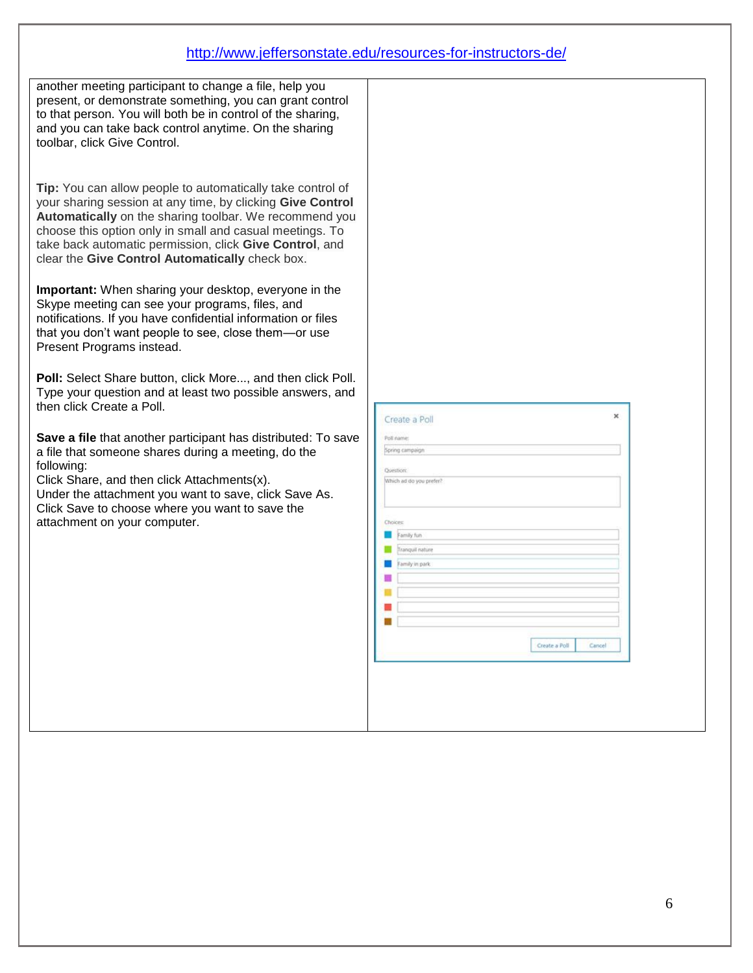| another meeting participant to change a file, help you<br>present, or demonstrate something, you can grant control                                                                                                                                                                             |                                                |
|------------------------------------------------------------------------------------------------------------------------------------------------------------------------------------------------------------------------------------------------------------------------------------------------|------------------------------------------------|
| to that person. You will both be in control of the sharing,<br>and you can take back control anytime. On the sharing<br>toolbar, click Give Control.                                                                                                                                           |                                                |
| Tip: You can allow people to automatically take control of                                                                                                                                                                                                                                     |                                                |
| your sharing session at any time, by clicking Give Control<br>Automatically on the sharing toolbar. We recommend you<br>choose this option only in small and casual meetings. To<br>take back automatic permission, click Give Control, and<br>clear the Give Control Automatically check box. |                                                |
| Important: When sharing your desktop, everyone in the<br>Skype meeting can see your programs, files, and<br>notifications. If you have confidential information or files<br>that you don't want people to see, close them-or use                                                               |                                                |
| Present Programs instead.<br>Poll: Select Share button, click More, and then click Poll.                                                                                                                                                                                                       |                                                |
| Type your question and at least two possible answers, and<br>then click Create a Poll.                                                                                                                                                                                                         | ×                                              |
| Save a file that another participant has distributed: To save<br>a file that someone shares during a meeting, do the                                                                                                                                                                           | Create a Poll<br>Poll name:<br>Spring campaign |
| following:<br>Click Share, and then click Attachments(x).<br>Under the attachment you want to save, click Save As.                                                                                                                                                                             | <b>Ovestion:</b><br>Which ad do you prefer?    |
| Click Save to choose where you want to save the<br>attachment on your computer.                                                                                                                                                                                                                | Choices<br>Family fun                          |
|                                                                                                                                                                                                                                                                                                | Tranquil nature<br>Family in park              |
|                                                                                                                                                                                                                                                                                                |                                                |
|                                                                                                                                                                                                                                                                                                | Create a Poll<br>Cancel                        |
|                                                                                                                                                                                                                                                                                                |                                                |
|                                                                                                                                                                                                                                                                                                |                                                |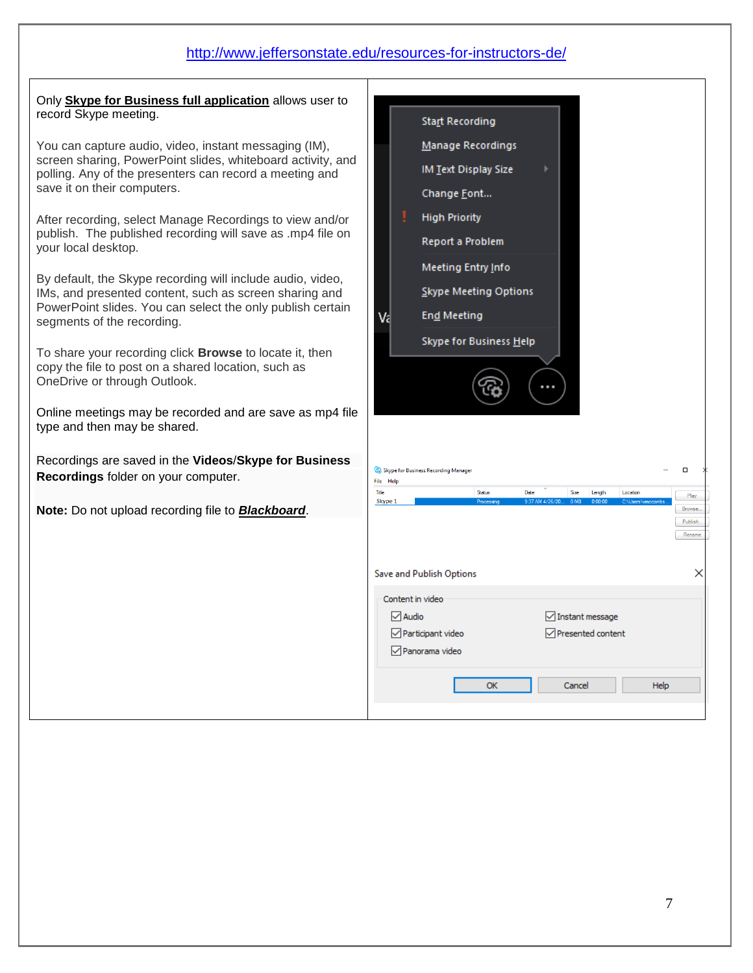Only **Skype for Business full application** allows user to record Skype meeting.

You can capture audio, video, instant messaging (IM), screen sharing, PowerPoint slides, whiteboard activity, and polling. Any of the presenters can record a meeting and save it on their computers.

After recording, select Manage Recordings to view and/or publish. The published recording will save as .mp4 file on your local desktop.

By default, the Skype recording will include audio, video, IMs, and presented content, such as screen sharing and PowerPoint slides. You can select the only publish certain segments of the recording.

1. To share your recording click **Browse** to locate it, then copy the file to post on a shared location, such as OneDrive or through Outlook.

Online meetings may be recorded and are save as mp4 file type and then may be shared.

Recordings are saved in the **Videos**/**Skype for Business Recordings** folder on your computer.

**Note:** Do not upload recording file to *Blackboard*.

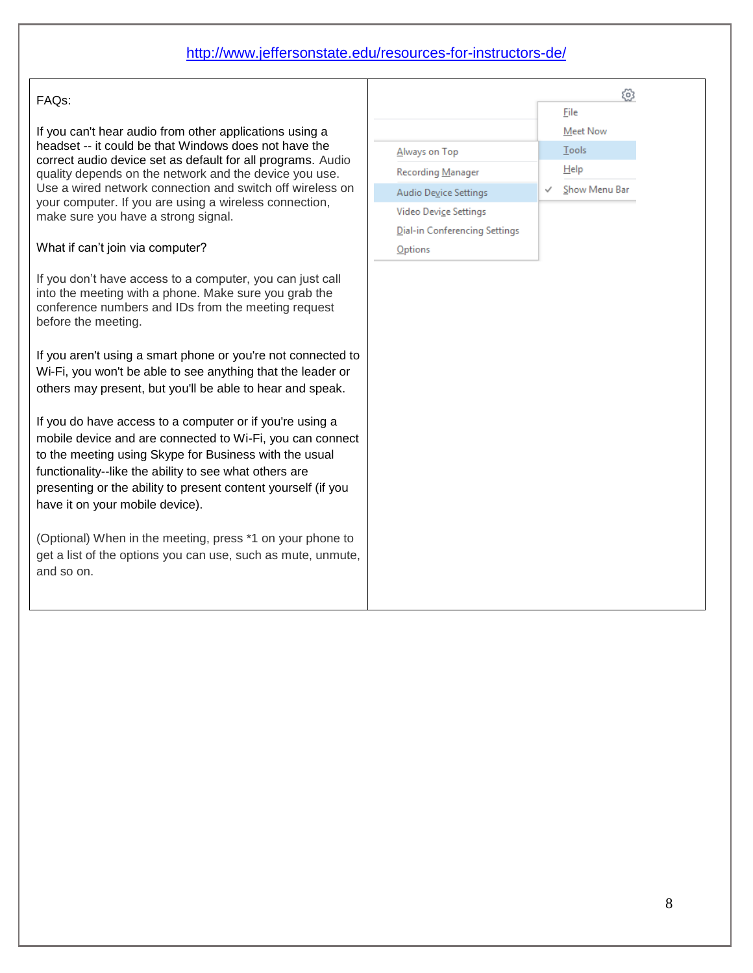#### FAQs:

If you can't hear audio from other applications using a headset -- it could be that Windows does not have the correct audio device set as default for all programs. Audio quality depends on the network and the device you use. Use a wired network connection and switch off wireless on your computer. If you are using a wireless connection, make sure you have a strong signal.

#### What if can't join via computer?

If you don't have access to a computer, you can just call into the meeting with a phone. Make sure you grab the conference numbers and IDs from the meeting request before the meeting.

If you aren't using a smart phone or you're not connected to Wi-Fi, you won't be able to see anything that the leader or others may present, but you'll be able to hear and speak.

If you do have access to a computer or if you're using a mobile device and are connected to Wi-Fi, you can connect to the meeting using Skype for Business with the usual functionality--like the ability to see what others are presenting or the ability to present content yourself (if you have it on your mobile device).

(Optional) When in the meeting, press \*1 on your phone to get a list of the options you can use, such as mute, unmute, and so on.

|                               | File            |
|-------------------------------|-----------------|
|                               | <b>Meet Now</b> |
| Always on Top                 | Tools           |
| Recording Manager             | Help            |
| Audio Device Settings         | Show Menu Bar   |
| Video Device Settings         |                 |
| Dial-in Conferencing Settings |                 |
| Options                       |                 |